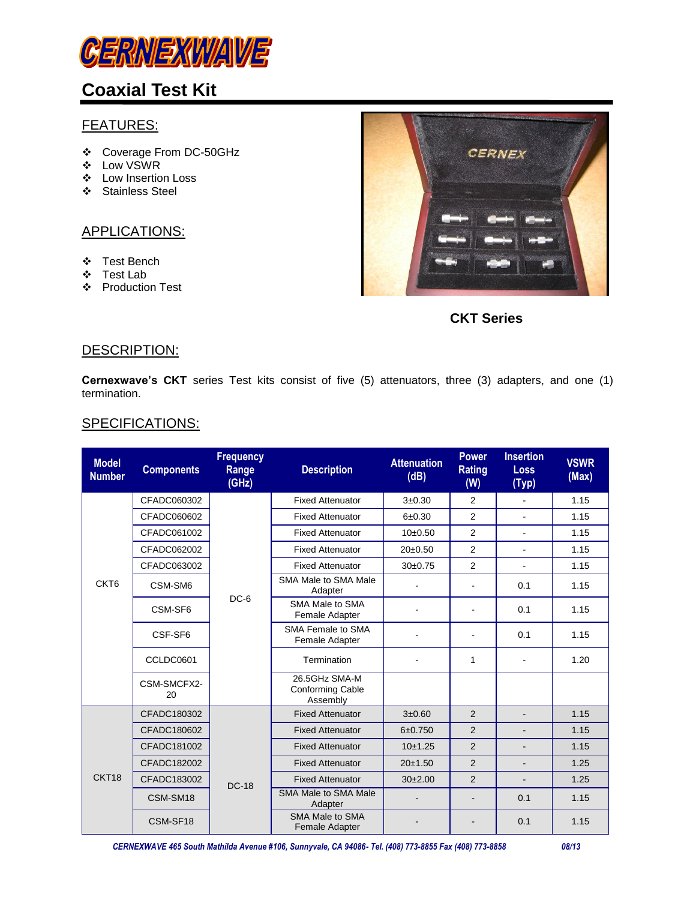

## **Coaxial Test Kit**

### FEATURES:

- Coverage From DC-50GHz
- Low VSWR
- Low Insertion Loss
- ❖ Stainless Steel

#### APPLICATIONS:

- Test Bench
- Test Lab
- Production Test



**CKT Series**

#### DESCRIPTION:

**Cernexwave's CKT** series Test kits consist of five (5) attenuators, three (3) adapters, and one (1) termination.

### SPECIFICATIONS:

| <b>Model</b><br><b>Number</b> | <b>Components</b> | <b>Frequency</b><br>Range<br>(GHz) | <b>Description</b>                                   | <b>Attenuation</b><br>(dB) | <b>Power</b><br><b>Rating</b><br>(W) | <b>Insertion</b><br><b>Loss</b><br>(Typ) | <b>VSWR</b><br>(Max) |
|-------------------------------|-------------------|------------------------------------|------------------------------------------------------|----------------------------|--------------------------------------|------------------------------------------|----------------------|
|                               | CFADC060302       |                                    | <b>Fixed Attenuator</b>                              | $3 + 0.30$                 | 2                                    | $\sim$                                   | 1.15                 |
|                               | CFADC060602       |                                    | <b>Fixed Attenuator</b>                              | $6 + 0.30$                 | 2                                    | $\blacksquare$                           | 1.15                 |
|                               | CFADC061002       |                                    | <b>Fixed Attenuator</b>                              | $10+0.50$                  | 2                                    | $\blacksquare$                           | 1.15                 |
|                               | CFADC062002       |                                    | <b>Fixed Attenuator</b>                              | 20±0.50                    | 2                                    | $\blacksquare$                           | 1.15                 |
|                               | CFADC063002       |                                    | <b>Fixed Attenuator</b>                              | $30+0.75$                  | 2                                    | $\sim$                                   | 1.15                 |
| CKT <sub>6</sub>              | CSM-SM6           |                                    | SMA Male to SMA Male<br>Adapter                      |                            |                                      | 0.1                                      | 1.15                 |
|                               | CSM-SF6           | $DC-6$                             | SMA Male to SMA<br>Female Adapter                    |                            | $\blacksquare$                       | 0.1                                      | 1.15                 |
|                               | CSF-SF6           |                                    | SMA Female to SMA<br>Female Adapter                  |                            |                                      | 0.1                                      | 1.15                 |
|                               | CCLDC0601         |                                    | Termination                                          |                            | 1                                    |                                          | 1.20                 |
|                               | CSM-SMCFX2-<br>20 |                                    | 26.5GHz SMA-M<br><b>Conforming Cable</b><br>Assembly |                            |                                      |                                          |                      |
| CKT18                         | CFADC180302       | <b>DC-18</b>                       | <b>Fixed Attenuator</b>                              | $3 + 0.60$                 | 2                                    |                                          | 1.15                 |
|                               | CFADC180602       |                                    | <b>Fixed Attenuator</b>                              | 6±0.750                    | 2                                    |                                          | 1.15                 |
|                               | CFADC181002       |                                    | <b>Fixed Attenuator</b>                              | 10±1.25                    | 2                                    | $\blacksquare$                           | 1.15                 |
|                               | CFADC182002       |                                    | <b>Fixed Attenuator</b>                              | 20±1.50                    | 2                                    |                                          | 1.25                 |
|                               | CFADC183002       |                                    | <b>Fixed Attenuator</b>                              | 30 <sub>±</sub> 2.00       | 2                                    |                                          | 1.25                 |
|                               | CSM-SM18          |                                    | <b>SMA Male to SMA Male</b><br>Adapter               |                            |                                      | 0.1                                      | 1.15                 |
|                               | CSM-SF18          |                                    | SMA Male to SMA<br>Female Adapter                    |                            |                                      | 0.1                                      | 1.15                 |

 *CERNEXWAVE 465 South Mathilda Avenue #106, Sunnyvale, CA 94086- Tel. (408) 773-8855 Fax (408) 773-8858 08/13*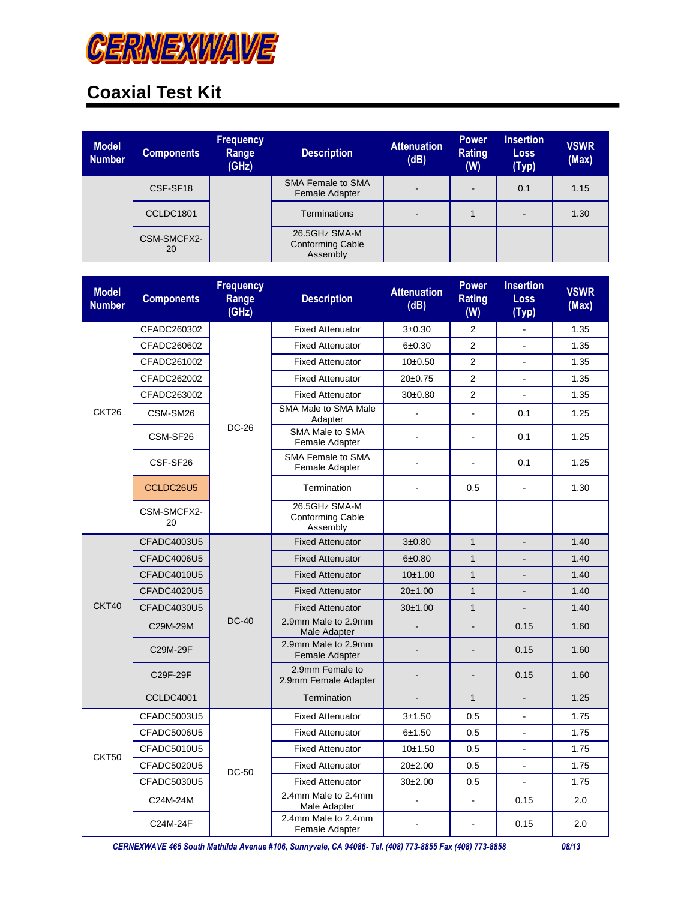

# **Coaxial Test Kit**

| <b>Model</b><br><b>Number</b> | <b>Components</b> | <b>Frequency</b><br>Range<br>(GHz) | <b>Description</b>                                   | <b>Attenuation</b><br>(dB) | <b>Power</b><br><b>Rating</b><br>(W) | <b>Insertion</b><br><b>Loss</b><br>(Typ) | <b>VSWR</b><br>(Max) |
|-------------------------------|-------------------|------------------------------------|------------------------------------------------------|----------------------------|--------------------------------------|------------------------------------------|----------------------|
|                               | CSF-SF18          |                                    | <b>SMA Female to SMA</b><br>Female Adapter           | ۰.                         | $\blacksquare$                       | 0.1                                      | 1.15                 |
|                               | CCLDC1801         |                                    | <b>Terminations</b>                                  | ۰.                         |                                      | -                                        | 1.30                 |
|                               | CSM-SMCFX2-<br>20 |                                    | 26.5GHz SMA-M<br><b>Conforming Cable</b><br>Assembly |                            |                                      |                                          |                      |

| <b>Model</b><br><b>Number</b> | <b>Components</b>  | <b>Frequency</b><br>Range<br>(GHz) | <b>Description</b>                                   | <b>Attenuation</b><br>(dB) | <b>Power</b><br><b>Rating</b><br>(W) | <b>Insertion</b><br><b>Loss</b><br>(Typ) | <b>VSWR</b><br>(Max) |
|-------------------------------|--------------------|------------------------------------|------------------------------------------------------|----------------------------|--------------------------------------|------------------------------------------|----------------------|
|                               | CFADC260302        | <b>DC-26</b>                       | <b>Fixed Attenuator</b>                              | $3 + 0.30$                 | $\overline{2}$                       | $\blacksquare$                           | 1.35                 |
|                               | CFADC260602        |                                    | <b>Fixed Attenuator</b>                              | 6±0.30                     | $\overline{2}$                       | ä,                                       | 1.35                 |
|                               | CFADC261002        |                                    | <b>Fixed Attenuator</b>                              | 10±0.50                    | $\overline{2}$                       | ä,                                       | 1.35                 |
|                               | CFADC262002        |                                    | <b>Fixed Attenuator</b>                              | $20+0.75$                  | 2                                    |                                          | 1.35                 |
|                               | CFADC263002        |                                    | <b>Fixed Attenuator</b>                              | 30±0.80                    | $\overline{2}$                       |                                          | 1.35                 |
| CKT26                         | CSM-SM26           |                                    | SMA Male to SMA Male<br>Adapter                      |                            | ä,                                   | 0.1                                      | 1.25                 |
|                               | CSM-SF26           |                                    | SMA Male to SMA<br>Female Adapter                    | ä,                         | $\frac{1}{2}$                        | 0.1                                      | 1.25                 |
|                               | CSF-SF26           |                                    | SMA Female to SMA<br>Female Adapter                  |                            | ä,                                   | 0.1                                      | 1.25                 |
|                               | CCLDC26U5          |                                    | Termination                                          | $\overline{a}$             | 0.5                                  | $\blacksquare$                           | 1.30                 |
|                               | CSM-SMCFX2-<br>20  |                                    | 26.5GHz SMA-M<br><b>Conforming Cable</b><br>Assembly |                            |                                      |                                          |                      |
|                               | CFADC4003U5        | <b>DC-40</b>                       | <b>Fixed Attenuator</b>                              | $3 + 0.80$                 | $\mathbf{1}$                         | ÷,                                       | 1.40                 |
|                               | CFADC4006U5        |                                    | <b>Fixed Attenuator</b>                              | 6±0.80                     | $\mathbf{1}$                         |                                          | 1.40                 |
|                               | CFADC4010U5        |                                    | <b>Fixed Attenuator</b>                              | 10±1.00                    | $\mathbf{1}$                         |                                          | 1.40                 |
|                               | CFADC4020U5        |                                    | <b>Fixed Attenuator</b>                              | 20±1.00                    | $\mathbf{1}$                         | $\overline{a}$                           | 1.40                 |
| CKT40                         | CFADC4030U5        |                                    | <b>Fixed Attenuator</b>                              | 30±1.00                    | $\mathbf{1}$                         |                                          | 1.40                 |
|                               | C29M-29M           |                                    | 2.9mm Male to 2.9mm<br>Male Adapter                  |                            | L.                                   | 0.15                                     | 1.60                 |
|                               | C29M-29F           |                                    | 2.9mm Male to 2.9mm<br><b>Female Adapter</b>         |                            |                                      | 0.15                                     | 1.60                 |
|                               | C29F-29F           |                                    | 2.9mm Female to<br>2.9mm Female Adapter              |                            |                                      | 0.15                                     | 1.60                 |
|                               | CCLDC4001          |                                    | Termination                                          |                            | $\mathbf{1}$                         | $\overline{\phantom{0}}$                 | 1.25                 |
|                               | CFADC5003U5        | <b>DC-50</b>                       | <b>Fixed Attenuator</b>                              | $3 + 1.50$                 | 0.5                                  |                                          | 1.75                 |
| CKT50                         | <b>CFADC5006U5</b> |                                    | <b>Fixed Attenuator</b>                              | 6±1.50                     | 0.5                                  |                                          | 1.75                 |
|                               | CFADC5010U5        |                                    | <b>Fixed Attenuator</b>                              | 10±1.50                    | 0.5                                  | $\overline{a}$                           | 1.75                 |
|                               | CFADC5020U5        |                                    | <b>Fixed Attenuator</b>                              | $20+2.00$                  | 0.5                                  | $\frac{1}{2}$                            | 1.75                 |
|                               | CFADC5030U5        |                                    | <b>Fixed Attenuator</b>                              | $30+2.00$                  | 0.5                                  | $\blacksquare$                           | 1.75                 |
|                               | C24M-24M           |                                    | 2.4mm Male to 2.4mm<br>Male Adapter                  |                            | $\overline{a}$                       | 0.15                                     | 2.0                  |
|                               | C24M-24F           |                                    | 2.4mm Male to 2.4mm<br>Female Adapter                |                            | ä,                                   | 0.15                                     | 2.0                  |

 *CERNEXWAVE 465 South Mathilda Avenue #106, Sunnyvale, CA 94086- Tel. (408) 773-8855 Fax (408) 773-8858 08/13*